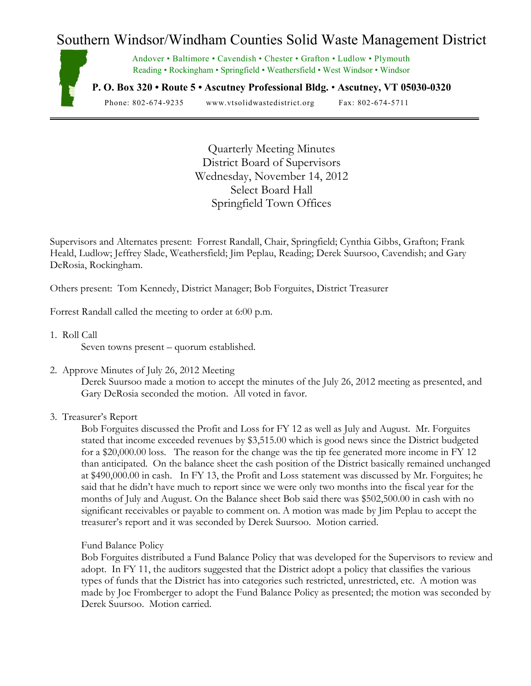# Southern Windsor/Windham Counties Solid Waste Management District



Andover • Baltimore • Cavendish • Chester • Grafton • Ludlow • Plymouth Reading • Rockingham • Springfield • Weathersfield • West Windsor • Windsor

**P. O. Box 320 • Route 5 • Ascutney Professional Bldg.** • **Ascutney, VT 05030-0320**

Phone: 802-674-9235 www.vtsolidwastedistrict.org Fax: 802-674-5711

Quarterly Meeting Minutes District Board of Supervisors Wednesday, November 14, 2012 Select Board Hall Springfield Town Offices

Supervisors and Alternates present: Forrest Randall, Chair, Springfield; Cynthia Gibbs, Grafton; Frank Heald, Ludlow; Jeffrey Slade, Weathersfield; Jim Peplau, Reading; Derek Suursoo, Cavendish; and Gary DeRosia, Rockingham.

Others present: Tom Kennedy, District Manager; Bob Forguites, District Treasurer

Forrest Randall called the meeting to order at 6:00 p.m.

1. Roll Call

Seven towns present – quorum established.

2. Approve Minutes of July 26, 2012 Meeting

Derek Suursoo made a motion to accept the minutes of the July 26, 2012 meeting as presented, and Gary DeRosia seconded the motion. All voted in favor.

3. Treasurer's Report

Bob Forguites discussed the Profit and Loss for FY 12 as well as July and August. Mr. Forguites stated that income exceeded revenues by \$3,515.00 which is good news since the District budgeted for a \$20,000.00 loss. The reason for the change was the tip fee generated more income in FY 12 than anticipated. On the balance sheet the cash position of the District basically remained unchanged at \$490,000.00 in cash. In FY 13, the Profit and Loss statement was discussed by Mr. Forguites; he said that he didn't have much to report since we were only two months into the fiscal year for the months of July and August. On the Balance sheet Bob said there was \$502,500.00 in cash with no significant receivables or payable to comment on. A motion was made by Jim Peplau to accept the treasurer's report and it was seconded by Derek Suursoo. Motion carried.

Fund Balance Policy

Bob Forguites distributed a Fund Balance Policy that was developed for the Supervisors to review and adopt. In FY 11, the auditors suggested that the District adopt a policy that classifies the various types of funds that the District has into categories such restricted, unrestricted, etc. A motion was made by Joe Fromberger to adopt the Fund Balance Policy as presented; the motion was seconded by Derek Suursoo. Motion carried.